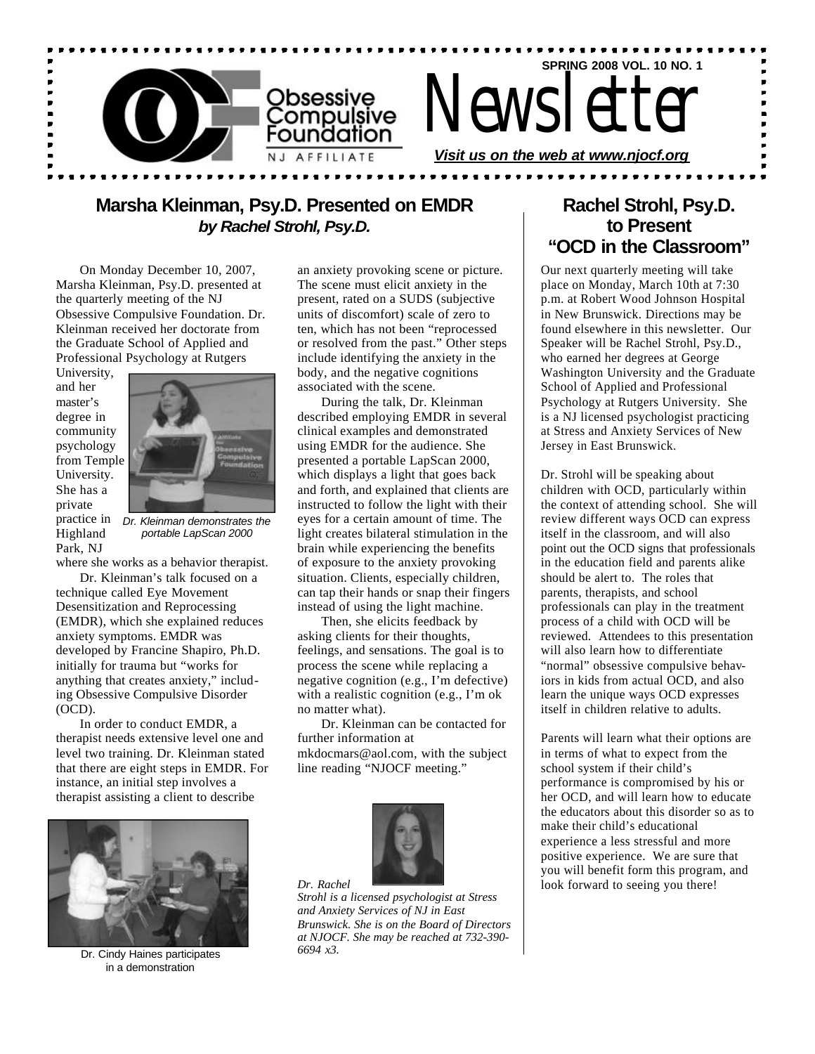

### **Marsha Kleinman, Psy.D. Presented on EMDR** *by Rachel Strohl, Psy.D.*

On Monday December 10, 2007, Marsha Kleinman, Psy.D. presented at the quarterly meeting of the NJ Obsessive Compulsive Foundation. Dr. Kleinman received her doctorate from the Graduate School of Applied and Professional Psychology at Rutgers

University, and her master's degree in community psychology from Temple University. She has a private practice in Highland Park, NJ



*Dr. Kleinman demonstrates the portable LapScan 2000*

where she works as a behavior therapist.

Dr. Kleinman's talk focused on a technique called Eye Movement Desensitization and Reprocessing (EMDR), which she explained reduces anxiety symptoms. EMDR was developed by Francine Shapiro, Ph.D. initially for trauma but "works for anything that creates anxiety," including Obsessive Compulsive Disorder (OCD).

In order to conduct EMDR, a therapist needs extensive level one and level two training. Dr. Kleinman stated that there are eight steps in EMDR. For instance, an initial step involves a therapist assisting a client to describe



Dr. Cindy Haines participates in a demonstration

an anxiety provoking scene or picture. The scene must elicit anxiety in the present, rated on a SUDS (subjective units of discomfort) scale of zero to ten, which has not been "reprocessed or resolved from the past." Other steps include identifying the anxiety in the body, and the negative cognitions associated with the scene.

During the talk, Dr. Kleinman described employing EMDR in several clinical examples and demonstrated using EMDR for the audience. She presented a portable LapScan 2000, which displays a light that goes back and forth, and explained that clients are instructed to follow the light with their eyes for a certain amount of time. The light creates bilateral stimulation in the brain while experiencing the benefits of exposure to the anxiety provoking situation. Clients, especially children, can tap their hands or snap their fingers instead of using the light machine.

Then, she elicits feedback by asking clients for their thoughts, feelings, and sensations. The goal is to process the scene while replacing a negative cognition (e.g., I'm defective) with a realistic cognition (e.g., I'm ok no matter what).

Dr. Kleinman can be contacted for further information at mkdocmars@aol.com, with the subject line reading "NJOCF meeting."



*Dr. Rachel Strohl is a licensed psychologist at Stress and Anxiety Services of NJ in East Brunswick. She is on the Board of Directors at NJOCF. She may be reached at 732-390- 6694 x3.*

### **Rachel Strohl, Psy.D. to Present "OCD in the Classroom"**

Our next quarterly meeting will take place on Monday, March 10th at 7:30 p.m. at Robert Wood Johnson Hospital in New Brunswick. Directions may be found elsewhere in this newsletter. Our Speaker will be Rachel Strohl, Psy.D., who earned her degrees at George Washington University and the Graduate School of Applied and Professional Psychology at Rutgers University. She is a NJ licensed psychologist practicing at Stress and Anxiety Services of New Jersey in East Brunswick.

Dr. Strohl will be speaking about children with OCD, particularly within the context of attending school. She will review different ways OCD can express itself in the classroom, and will also point out the OCD signs that professionals in the education field and parents alike should be alert to. The roles that parents, therapists, and school professionals can play in the treatment process of a child with OCD will be reviewed. Attendees to this presentation will also learn how to differentiate "normal" obsessive compulsive behaviors in kids from actual OCD, and also learn the unique ways OCD expresses itself in children relative to adults.

Parents will learn what their options are in terms of what to expect from the school system if their child's performance is compromised by his or her OCD, and will learn how to educate the educators about this disorder so as to make their child's educational experience a less stressful and more positive experience. We are sure that you will benefit form this program, and look forward to seeing you there!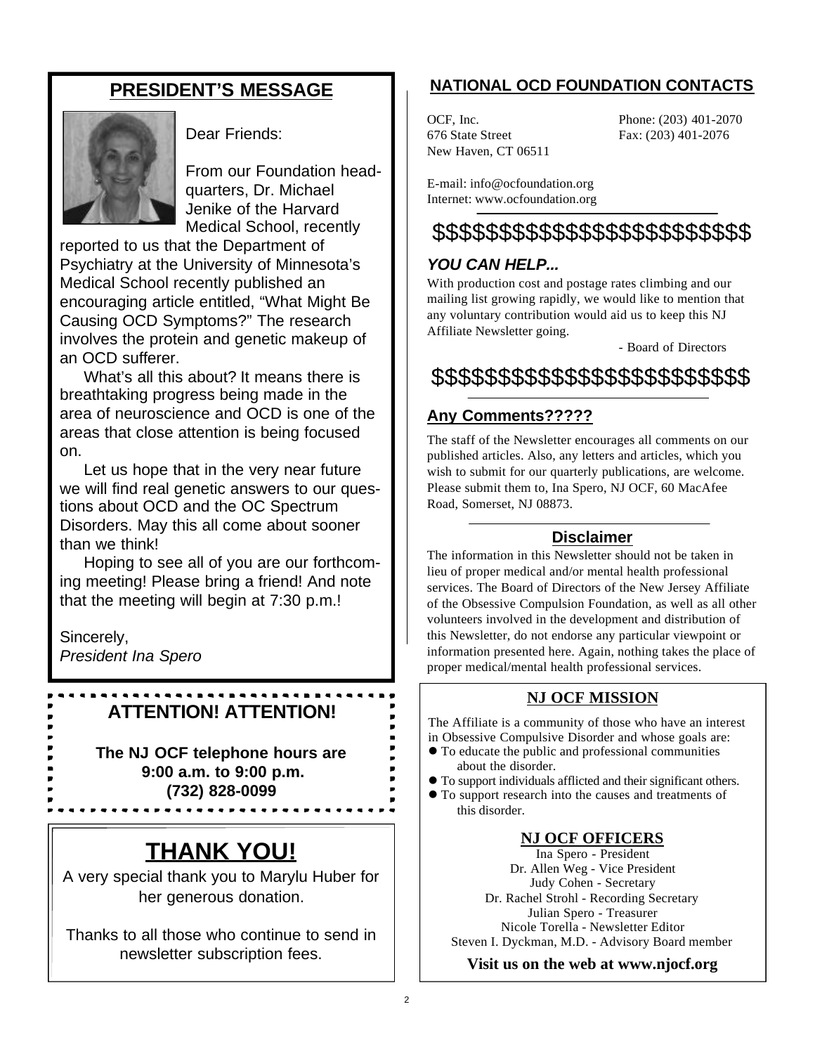### **PRESIDENT'S MESSAGE**



Dear Friends:

From our Foundation headquarters, Dr. Michael Jenike of the Harvard Medical School, recently

reported to us that the Department of Psychiatry at the University of Minnesota's Medical School recently published an encouraging article entitled, "What Might Be Causing OCD Symptoms?" The research involves the protein and genetic makeup of an OCD sufferer.

What's all this about? It means there is breathtaking progress being made in the area of neuroscience and OCD is one of the areas that close attention is being focused on.

Let us hope that in the very near future we will find real genetic answers to our questions about OCD and the OC Spectrum Disorders. May this all come about sooner than we think!

Hoping to see all of you are our forthcoming meeting! Please bring a friend! And note that the meeting will begin at 7:30 p.m.!

Sincerely, *President Ina Spero*

## **ATTENTION! ATTENTION!**

**The NJ OCF telephone hours are 9:00 a.m. to 9:00 p.m. (732) 828-0099**

# **THANK YOU!**

A very special thank you to Marylu Huber for her generous donation.

Thanks to all those who continue to send in newsletter subscription fees.

### **NATIONAL OCD FOUNDATION CONTACTS**

676 State Street Fax: (203) 401-2076 New Haven, CT 06511

OCF, Inc. Phone: (203) 401-2070

E-mail: info@ocfoundation.org Internet: www.ocfoundation.org

# \$\$\$\$\$\$\$\$\$\$\$\$\$\$\$\$\$\$\$\$\$\$\$\$

### *YOU CAN HELP...*

With production cost and postage rates climbing and our mailing list growing rapidly, we would like to mention that any voluntary contribution would aid us to keep this NJ Affiliate Newsletter going.

- Board of Directors

\$\$\$\$\$\$\$\$\$\$\$\$\$\$\$\$\$\$\$\$\$\$\$\$

### **Any Comments?????**

The staff of the Newsletter encourages all comments on our published articles. Also, any letters and articles, which you wish to submit for our quarterly publications, are welcome. Please submit them to, Ina Spero, NJ OCF, 60 MacAfee Road, Somerset, NJ 08873.

### **Disclaimer**

The information in this Newsletter should not be taken in lieu of proper medical and/or mental health professional services. The Board of Directors of the New Jersey Affiliate of the Obsessive Compulsion Foundation, as well as all other volunteers involved in the development and distribution of this Newsletter, do not endorse any particular viewpoint or information presented here. Again, nothing takes the place of proper medical/mental health professional services.

### **NJ OCF MISSION**

The Affiliate is a community of those who have an interest in Obsessive Compulsive Disorder and whose goals are:

- $\bullet$  To educate the public and professional communities about the disorder.
- l To support individuals afflicted and their significant others.
- To support research into the causes and treatments of this disorder.

### **NJ OCF OFFICERS**

Ina Spero - President Dr. Allen Weg - Vice President Judy Cohen - Secretary Dr. Rachel Strohl - Recording Secretary Julian Spero - Treasurer Nicole Torella - Newsletter Editor Steven I. Dyckman, M.D. - Advisory Board member

**Visit us on the web at www.njocf.org**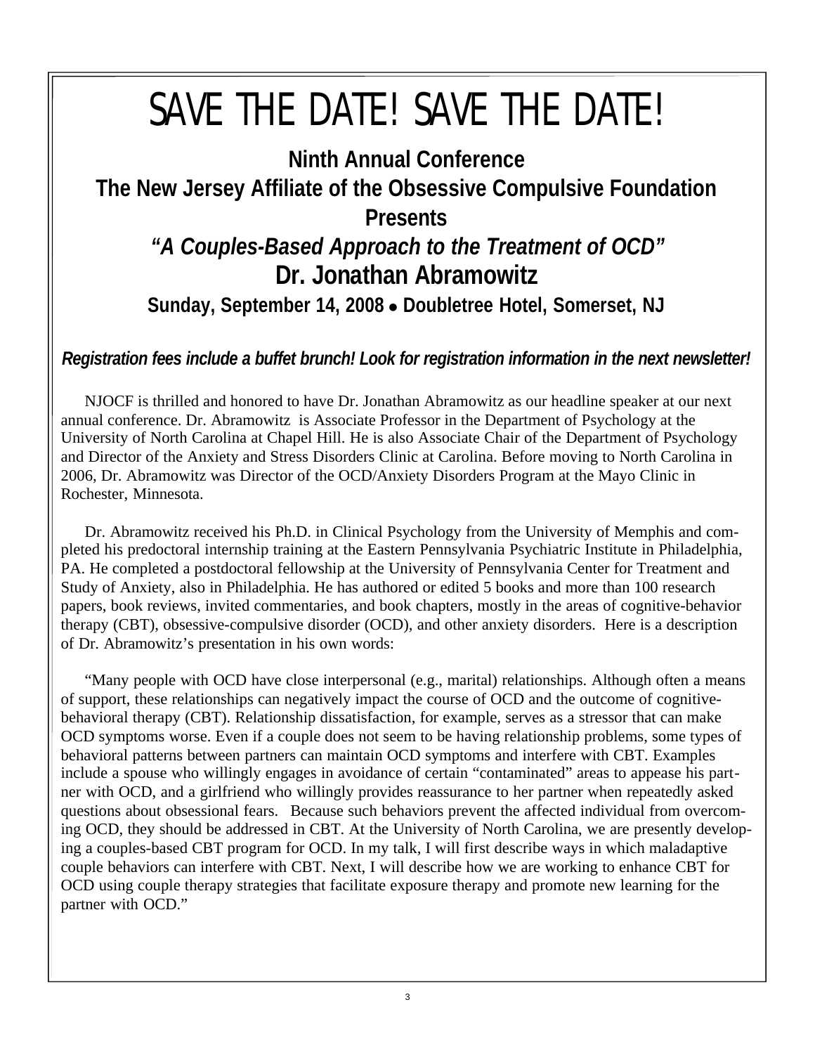# SAVE THE DATE! SAVE THE DATE!

# **Ninth Annual Conference The New Jersey Affiliate of the Obsessive Compulsive Foundation Presents**

# *"A Couples-Based Approach to the Treatment of OCD"* **Dr. Jonathan Abramowitz**

Sunday, September 14, 2008 . Doubletree Hotel, Somerset, NJ

### *Registration fees include a buffet brunch! Look for registration information in the next newsletter!*

NJOCF is thrilled and honored to have Dr. Jonathan Abramowitz as our headline speaker at our next annual conference. Dr. Abramowitz is Associate Professor in the Department of Psychology at the University of North Carolina at Chapel Hill. He is also Associate Chair of the Department of Psychology and Director of the Anxiety and Stress Disorders Clinic at Carolina. Before moving to North Carolina in 2006, Dr. Abramowitz was Director of the OCD/Anxiety Disorders Program at the Mayo Clinic in Rochester, Minnesota.

Dr. Abramowitz received his Ph.D. in Clinical Psychology from the University of Memphis and completed his predoctoral internship training at the Eastern Pennsylvania Psychiatric Institute in Philadelphia, PA. He completed a postdoctoral fellowship at the University of Pennsylvania Center for Treatment and Study of Anxiety, also in Philadelphia. He has authored or edited 5 books and more than 100 research papers, book reviews, invited commentaries, and book chapters, mostly in the areas of cognitive-behavior therapy (CBT), obsessive-compulsive disorder (OCD), and other anxiety disorders. Here is a description of Dr. Abramowitz's presentation in his own words:

"Many people with OCD have close interpersonal (e.g., marital) relationships. Although often a means of support, these relationships can negatively impact the course of OCD and the outcome of cognitivebehavioral therapy (CBT). Relationship dissatisfaction, for example, serves as a stressor that can make OCD symptoms worse. Even if a couple does not seem to be having relationship problems, some types of behavioral patterns between partners can maintain OCD symptoms and interfere with CBT. Examples include a spouse who willingly engages in avoidance of certain "contaminated" areas to appease his partner with OCD, and a girlfriend who willingly provides reassurance to her partner when repeatedly asked questions about obsessional fears. Because such behaviors prevent the affected individual from overcoming OCD, they should be addressed in CBT. At the University of North Carolina, we are presently developing a couples-based CBT program for OCD. In my talk, I will first describe ways in which maladaptive couple behaviors can interfere with CBT. Next, I will describe how we are working to enhance CBT for OCD using couple therapy strategies that facilitate exposure therapy and promote new learning for the partner with OCD."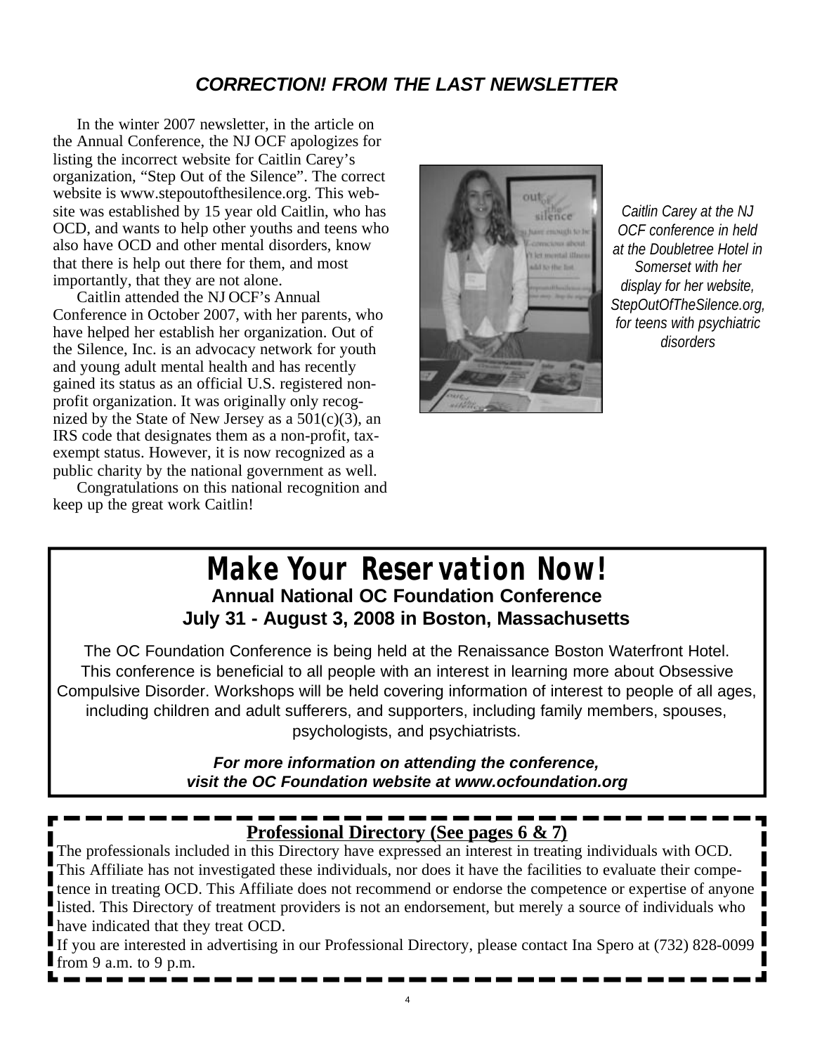### *CORRECTION! FROM THE LAST NEWSLETTER*

In the winter 2007 newsletter, in the article on the Annual Conference, the NJ OCF apologizes for listing the incorrect website for Caitlin Carey's organization, "Step Out of the Silence". The correct website is www.stepoutofthesilence.org. This website was established by 15 year old Caitlin, who has OCD, and wants to help other youths and teens who also have OCD and other mental disorders, know that there is help out there for them, and most importantly, that they are not alone.

Caitlin attended the NJ OCF's Annual Conference in October 2007, with her parents, who have helped her establish her organization. Out of the Silence, Inc. is an advocacy network for youth and young adult mental health and has recently gained its status as an official U.S. registered nonprofit organization. It was originally only recognized by the State of New Jersey as a  $501(c)(3)$ , an IRS code that designates them as a non-profit, taxexempt status. However, it is now recognized as a public charity by the national government as well.

Congratulations on this national recognition and keep up the great work Caitlin!



*Caitlin Carey at the NJ OCF conference in held at the Doubletree Hotel in Somerset with her display for her website, StepOutOfTheSilence.org, for teens with psychiatric disorders*

### **Make Your Reservation Now! Annual National OC Foundation Conference July 31 - August 3, 2008 in Boston, Massachusetts**

The OC Foundation Conference is being held at the Renaissance Boston Waterfront Hotel. This conference is beneficial to all people with an interest in learning more about Obsessive Compulsive Disorder. Workshops will be held covering information of interest to people of all ages, including children and adult sufferers, and supporters, including family members, spouses, psychologists, and psychiatrists.

> *For more information on attending the conference, visit the OC Foundation website at www.ocfoundation.org*

# **Professional Directory (See pages 6 & 7)**

The professionals included in this Directory have expressed an interest in treating individuals with OCD. This Affiliate has not investigated these individuals, nor does it have the facilities to evaluate their competence in treating OCD. This Affiliate does not recommend or endorse the competence or expertise of anyone listed. This Directory of treatment providers is not an endorsement, but merely a source of individuals who have indicated that they treat OCD.

If you are interested in advertising in our Professional Directory, please contact Ina Spero at (732) 828-0099 from 9 a.m. to 9 p.m.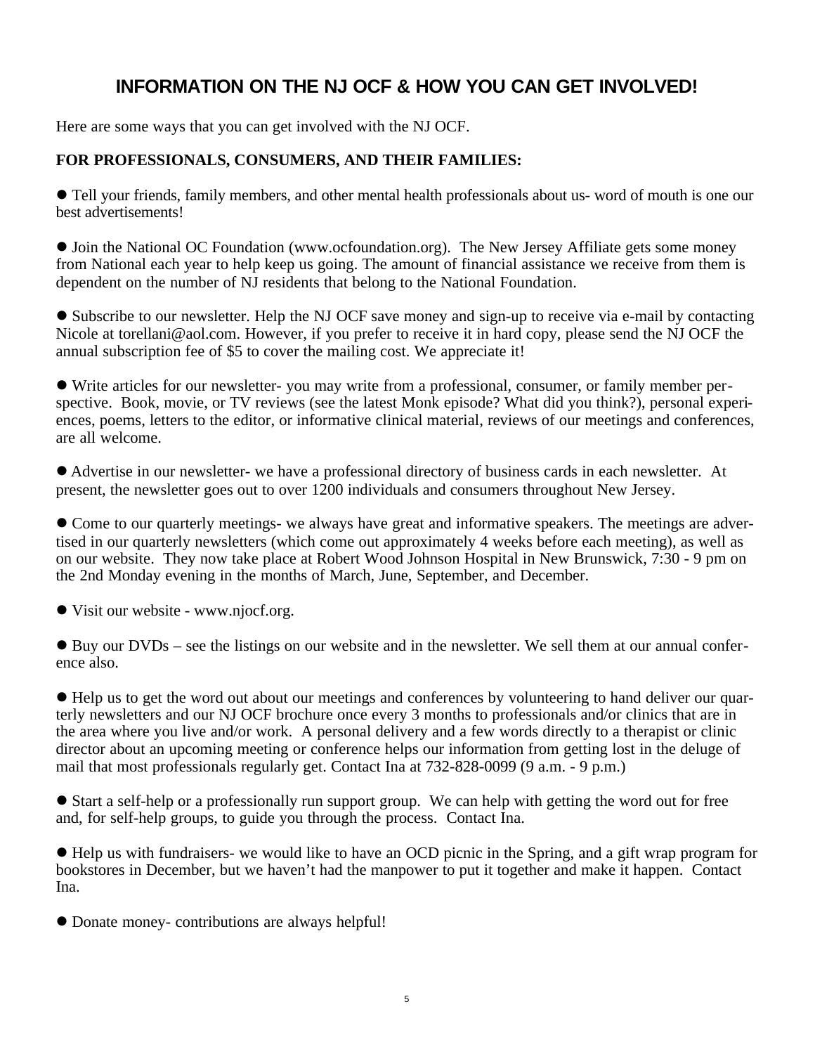### **INFORMATION ON THE NJ OCF & HOW YOU CAN GET INVOLVED!**

Here are some ways that you can get involved with the NJ OCF.

#### **FOR PROFESSIONALS, CONSUMERS, AND THEIR FAMILIES:**

l Tell your friends, family members, and other mental health professionals about us- word of mouth is one our best advertisements!

• Join the National OC Foundation (www.ocfoundation.org). The New Jersey Affiliate gets some money from National each year to help keep us going. The amount of financial assistance we receive from them is dependent on the number of NJ residents that belong to the National Foundation.

• Subscribe to our newsletter. Help the NJ OCF save money and sign-up to receive via e-mail by contacting Nicole at torellani@aol.com. However, if you prefer to receive it in hard copy, please send the NJ OCF the annual subscription fee of \$5 to cover the mailing cost. We appreciate it!

l Write articles for our newsletter- you may write from a professional, consumer, or family member perspective. Book, movie, or TV reviews (see the latest Monk episode? What did you think?), personal experiences, poems, letters to the editor, or informative clinical material, reviews of our meetings and conferences, are all welcome.

l Advertise in our newsletter- we have a professional directory of business cards in each newsletter. At present, the newsletter goes out to over 1200 individuals and consumers throughout New Jersey.

• Come to our quarterly meetings- we always have great and informative speakers. The meetings are advertised in our quarterly newsletters (which come out approximately 4 weeks before each meeting), as well as on our website. They now take place at Robert Wood Johnson Hospital in New Brunswick, 7:30 - 9 pm on the 2nd Monday evening in the months of March, June, September, and December.

• Visit our website - www.njocf.org.

 $\bullet$  Buy our DVDs – see the listings on our website and in the newsletter. We sell them at our annual conference also.

l Help us to get the word out about our meetings and conferences by volunteering to hand deliver our quarterly newsletters and our NJ OCF brochure once every 3 months to professionals and/or clinics that are in the area where you live and/or work. A personal delivery and a few words directly to a therapist or clinic director about an upcoming meeting or conference helps our information from getting lost in the deluge of mail that most professionals regularly get. Contact Ina at 732-828-0099 (9 a.m. - 9 p.m.)

l Start a self-help or a professionally run support group. We can help with getting the word out for free and, for self-help groups, to guide you through the process. Contact Ina.

l Help us with fundraisers- we would like to have an OCD picnic in the Spring, and a gift wrap program for bookstores in December, but we haven't had the manpower to put it together and make it happen. Contact Ina.

l Donate money- contributions are always helpful!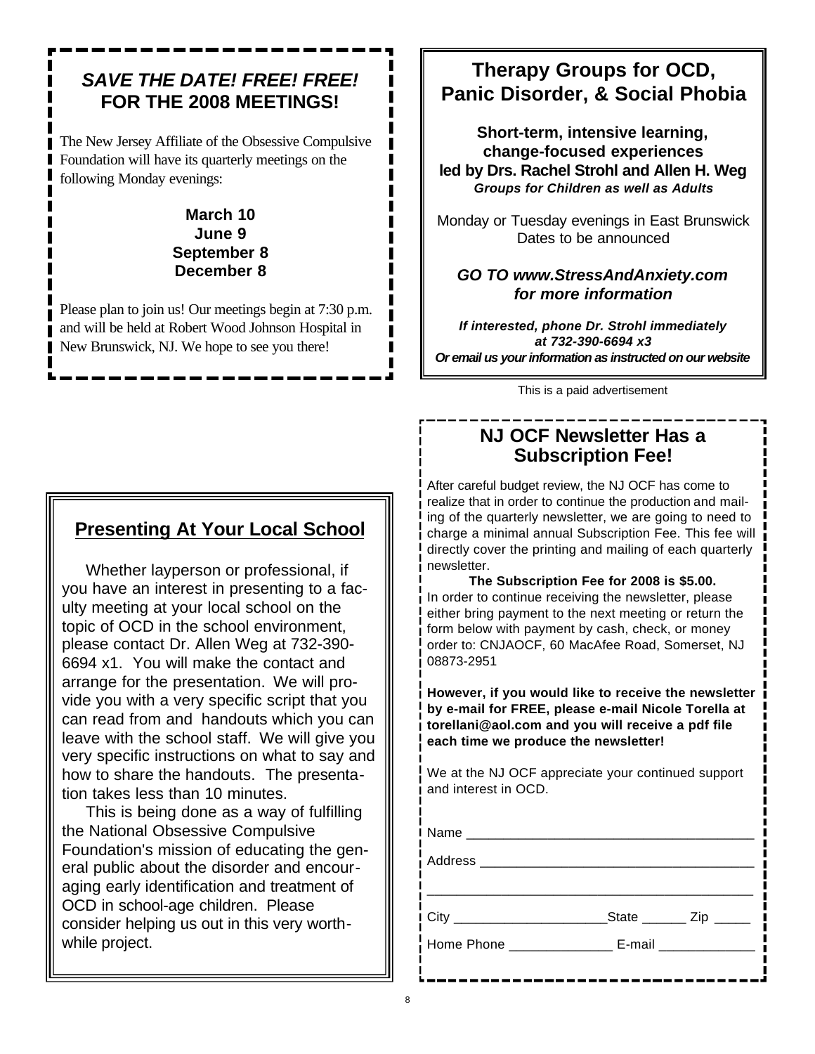### *SAVE THE DATE! FREE! FREE!* **FOR THE 2008 MEETINGS!**

The New Jersey Affiliate of the Obsessive Compulsive Foundation will have its quarterly meetings on the following Monday evenings:

#### **March 10 June 9 September 8 December 8**

Please plan to join us! Our meetings begin at 7:30 p.m. and will be held at Robert Wood Johnson Hospital in New Brunswick, NJ. We hope to see you there!

### **Presenting At Your Local School**

Whether layperson or professional, if you have an interest in presenting to a faculty meeting at your local school on the topic of OCD in the school environment, please contact Dr. Allen Weg at 732-390- 6694 x1. You will make the contact and arrange for the presentation. We will provide you with a very specific script that you can read from and handouts which you can leave with the school staff. We will give you very specific instructions on what to say and how to share the handouts. The presentation takes less than 10 minutes.

This is being done as a way of fulfilling the National Obsessive Compulsive Foundation's mission of educating the general public about the disorder and encouraging early identification and treatment of OCD in school-age children. Please consider helping us out in this very worthwhile project.

### **Therapy Groups for OCD, Panic Disorder, & Social Phobia**

**Short-term, intensive learning, change-focused experiences led by Drs. Rachel Strohl and Allen H. Weg** *Groups for Children as well as Adults*

Monday or Tuesday evenings in East Brunswick Dates to be announced

#### *GO TO www.StressAndAnxiety.com for more information*

*If interested, phone Dr. Strohl immediately at 732-390-6694 x3 Or email us your information as instructed on our website*

This is a paid advertisement

### **NJ OCF Newsletter Has a Subscription Fee!**

After careful budget review, the NJ OCF has come to realize that in order to continue the production and mailing of the quarterly newsletter, we are going to need to charge a minimal annual Subscription Fee. This fee will directly cover the printing and mailing of each quarterly newsletter.

**The Subscription Fee for 2008 is \$5.00.**  In order to continue receiving the newsletter, please either bring payment to the next meeting or return the form below with payment by cash, check, or money order to: CNJAOCF, 60 MacAfee Road, Somerset, NJ 08873-2951

**However, if you would like to receive the newsletter by e-mail for FREE, please e-mail Nicole Torella at torellani@aol.com and you will receive a pdf file each time we produce the newsletter!**

We at the NJ OCF appreciate your continued support and interest in OCD.

| Home Phone ________________ E-mail ______________ |  |
|---------------------------------------------------|--|
|                                                   |  |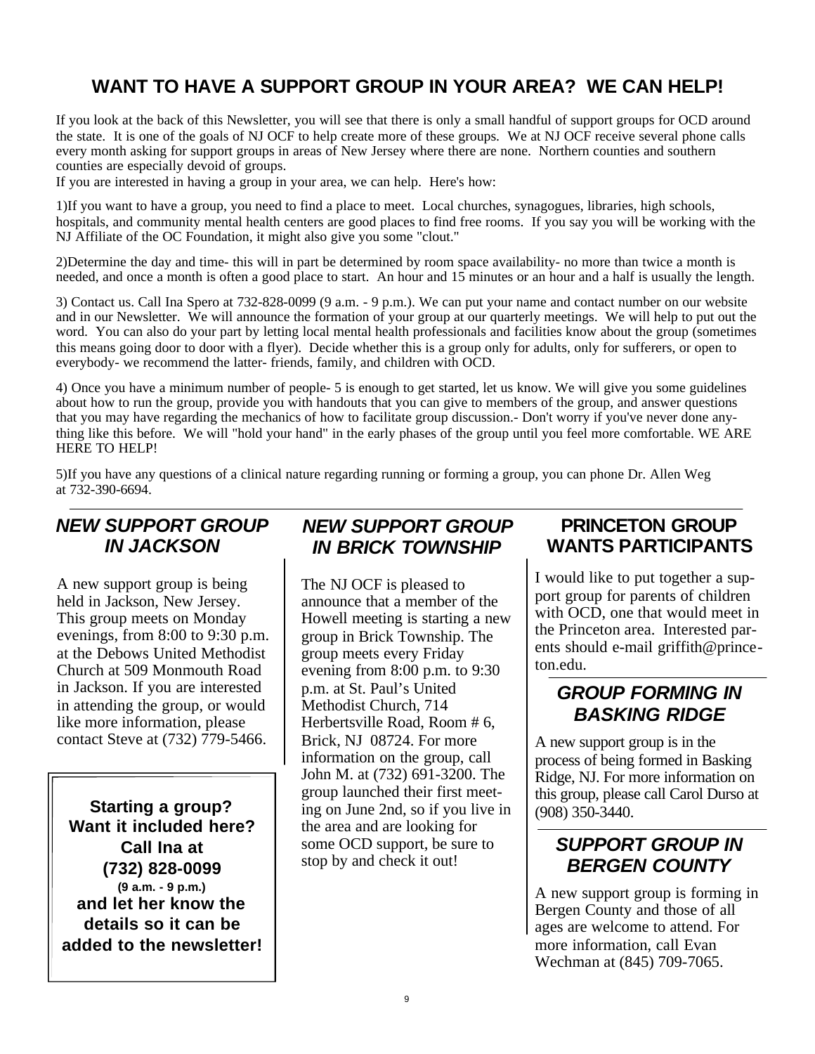### **WANT TO HAVE A SUPPORT GROUP IN YOUR AREA? WE CAN HELP!**

If you look at the back of this Newsletter, you will see that there is only a small handful of support groups for OCD around the state. It is one of the goals of NJ OCF to help create more of these groups. We at NJ OCF receive several phone calls every month asking for support groups in areas of New Jersey where there are none. Northern counties and southern counties are especially devoid of groups.

If you are interested in having a group in your area, we can help. Here's how:

1)If you want to have a group, you need to find a place to meet. Local churches, synagogues, libraries, high schools, hospitals, and community mental health centers are good places to find free rooms. If you say you will be working with the NJ Affiliate of the OC Foundation, it might also give you some "clout."

2)Determine the day and time- this will in part be determined by room space availability- no more than twice a month is needed, and once a month is often a good place to start. An hour and 15 minutes or an hour and a half is usually the length.

3) Contact us. Call Ina Spero at 732-828-0099 (9 a.m. - 9 p.m.). We can put your name and contact number on our website and in our Newsletter. We will announce the formation of your group at our quarterly meetings. We will help to put out the word. You can also do your part by letting local mental health professionals and facilities know about the group (sometimes this means going door to door with a flyer). Decide whether this is a group only for adults, only for sufferers, or open to everybody- we recommend the latter- friends, family, and children with OCD.

4) Once you have a minimum number of people- 5 is enough to get started, let us know. We will give you some guidelines about how to run the group, provide you with handouts that you can give to members of the group, and answer questions that you may have regarding the mechanics of how to facilitate group discussion.- Don't worry if you've never done anything like this before. We will "hold your hand" in the early phases of the group until you feel more comfortable. WE ARE HERE TO HELP!

5)If you have any questions of a clinical nature regarding running or forming a group, you can phone Dr. Allen Weg at 732-390-6694.

### *NEW SUPPORT GROUP IN JACKSON*

A new support group is being held in Jackson, New Jersey. This group meets on Monday evenings, from 8:00 to 9:30 p.m. at the Debows United Methodist Church at 509 Monmouth Road in Jackson. If you are interested in attending the group, or would like more information, please contact Steve at (732) 779-5466.

**Starting a group? Want it included here? Call Ina at (732) 828-0099 (9 a.m. - 9 p.m.) and let her know the details so it can be added to the newsletter!**

### *NEW SUPPORT GROUP IN BRICK TOWNSHIP*

The NJ OCF is pleased to announce that a member of the Howell meeting is starting a new group in Brick Township. The group meets every Friday evening from 8:00 p.m. to 9:30 p.m. at St. Paul's United Methodist Church, 714 Herbertsville Road, Room # 6, Brick, NJ 08724. For more information on the group, call John M. at (732) 691-3200. The group launched their first meeting on June 2nd, so if you live in the area and are looking for some OCD support, be sure to stop by and check it out!

### **PRINCETON GROUP WANTS PARTICIPANTS**

I would like to put together a support group for parents of children with OCD, one that would meet in the Princeton area. Interested parents should e-mail griffith@princeton.edu.

### *GROUP FORMING IN BASKING RIDGE*

A new support group is in the process of being formed in Basking Ridge, NJ. For more information on this group, please call Carol Durso at (908) 350-3440.

### *SUPPORT GROUP IN BERGEN COUNTY*

A new support group is forming in Bergen County and those of all ages are welcome to attend. For more information, call Evan Wechman at (845) 709-7065.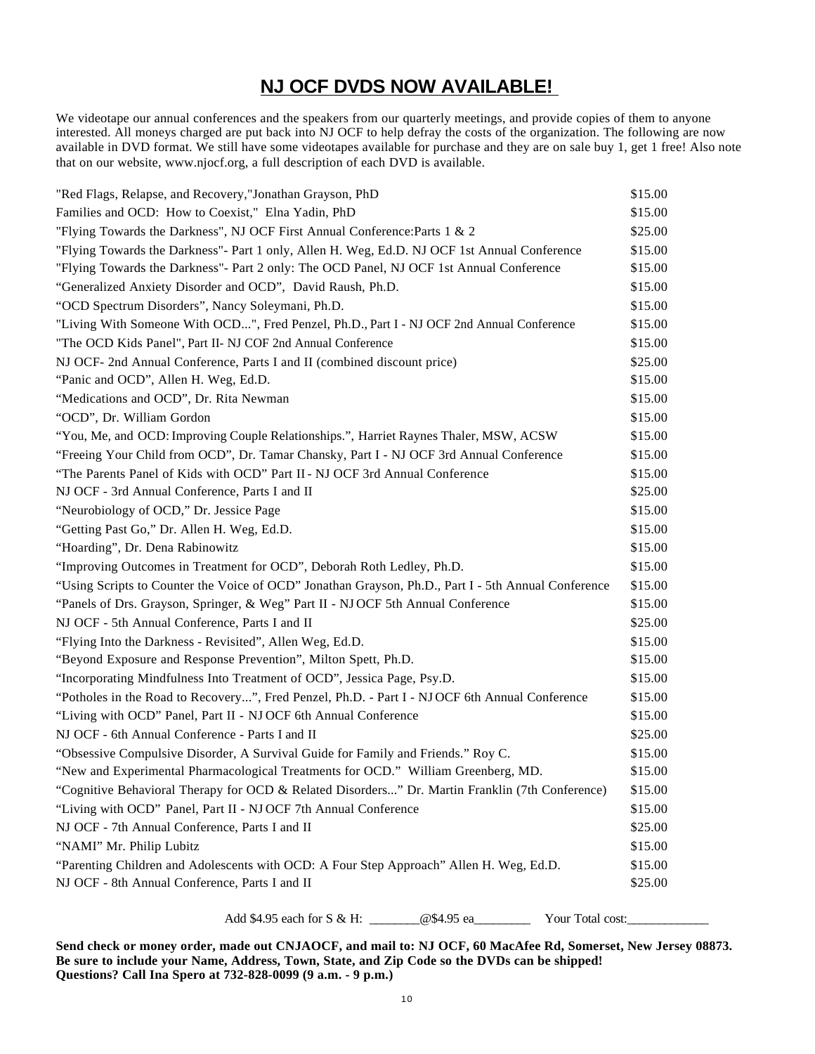### **NJ OCF DVDS NOW AVAILABLE!**

We videotape our annual conferences and the speakers from our quarterly meetings, and provide copies of them to anyone interested. All moneys charged are put back into NJ OCF to help defray the costs of the organization. The following are now available in DVD format. We still have some videotapes available for purchase and they are on sale buy 1, get 1 free! Also note that on our website, www.njocf.org, a full description of each DVD is available.

| "Red Flags, Relapse, and Recovery,"Jonathan Grayson, PhD                                            | \$15.00 |
|-----------------------------------------------------------------------------------------------------|---------|
| Families and OCD: How to Coexist," Elna Yadin, PhD                                                  |         |
| "Flying Towards the Darkness", NJ OCF First Annual Conference: Parts 1 & 2                          | \$25.00 |
| "Flying Towards the Darkness"- Part 1 only, Allen H. Weg, Ed.D. NJ OCF 1st Annual Conference        | \$15.00 |
| "Flying Towards the Darkness"- Part 2 only: The OCD Panel, NJ OCF 1st Annual Conference             | \$15.00 |
| "Generalized Anxiety Disorder and OCD", David Raush, Ph.D.                                          | \$15.00 |
| "OCD Spectrum Disorders", Nancy Soleymani, Ph.D.                                                    | \$15.00 |
| "Living With Someone With OCD", Fred Penzel, Ph.D., Part I - NJ OCF 2nd Annual Conference           | \$15.00 |
| "The OCD Kids Panel", Part II- NJ COF 2nd Annual Conference                                         | \$15.00 |
| NJ OCF- 2nd Annual Conference, Parts I and II (combined discount price)                             | \$25.00 |
| "Panic and OCD", Allen H. Weg, Ed.D.                                                                | \$15.00 |
| "Medications and OCD", Dr. Rita Newman                                                              | \$15.00 |
| "OCD", Dr. William Gordon                                                                           | \$15.00 |
| "You, Me, and OCD: Improving Couple Relationships.", Harriet Raynes Thaler, MSW, ACSW               | \$15.00 |
| "Freeing Your Child from OCD", Dr. Tamar Chansky, Part I - NJ OCF 3rd Annual Conference             | \$15.00 |
| "The Parents Panel of Kids with OCD" Part II - NJ OCF 3rd Annual Conference                         | \$15.00 |
| NJ OCF - 3rd Annual Conference, Parts I and II                                                      | \$25.00 |
| "Neurobiology of OCD," Dr. Jessice Page                                                             | \$15.00 |
| "Getting Past Go," Dr. Allen H. Weg, Ed.D.                                                          | \$15.00 |
| "Hoarding", Dr. Dena Rabinowitz                                                                     | \$15.00 |
| "Improving Outcomes in Treatment for OCD", Deborah Roth Ledley, Ph.D.                               | \$15.00 |
| "Using Scripts to Counter the Voice of OCD" Jonathan Grayson, Ph.D., Part I - 5th Annual Conference | \$15.00 |
| "Panels of Drs. Grayson, Springer, & Weg" Part II - NJ OCF 5th Annual Conference                    | \$15.00 |
| NJ OCF - 5th Annual Conference, Parts I and II                                                      | \$25.00 |
| "Flying Into the Darkness - Revisited", Allen Weg, Ed.D.                                            | \$15.00 |
| "Beyond Exposure and Response Prevention", Milton Spett, Ph.D.                                      |         |
| "Incorporating Mindfulness Into Treatment of OCD", Jessica Page, Psy.D.                             |         |
| "Potholes in the Road to Recovery", Fred Penzel, Ph.D. - Part I - NJ OCF 6th Annual Conference      |         |
| "Living with OCD" Panel, Part II - NJ OCF 6th Annual Conference                                     |         |
| NJ OCF - 6th Annual Conference - Parts I and II                                                     | \$25.00 |
| "Obsessive Compulsive Disorder, A Survival Guide for Family and Friends." Roy C.                    | \$15.00 |
| "New and Experimental Pharmacological Treatments for OCD." William Greenberg, MD.                   | \$15.00 |
| "Cognitive Behavioral Therapy for OCD & Related Disorders" Dr. Martin Franklin (7th Conference)     | \$15.00 |
| "Living with OCD" Panel, Part II - NJ OCF 7th Annual Conference                                     | \$15.00 |
| NJ OCF - 7th Annual Conference, Parts I and II                                                      | \$25.00 |
| "NAMI" Mr. Philip Lubitz                                                                            | \$15.00 |
| "Parenting Children and Adolescents with OCD: A Four Step Approach" Allen H. Weg, Ed.D.             | \$15.00 |
| NJ OCF - 8th Annual Conference, Parts I and II                                                      | \$25.00 |
|                                                                                                     |         |

Add \$4.95 each for S & H: \_\_\_\_\_\_\_\_\_\_@\$4.95 ea\_\_\_\_\_\_\_\_\_\_\_\_\_\_ Your Total cost:\_\_\_\_\_\_\_\_\_\_\_

**Send check or money order, made out CNJAOCF, and mail to: NJ OCF, 60 MacAfee Rd, Somerset, New Jersey 08873. Be sure to include your Name, Address, Town, State, and Zip Code so the DVDs can be shipped! Questions? Call Ina Spero at 732-828-0099 (9 a.m. - 9 p.m.)**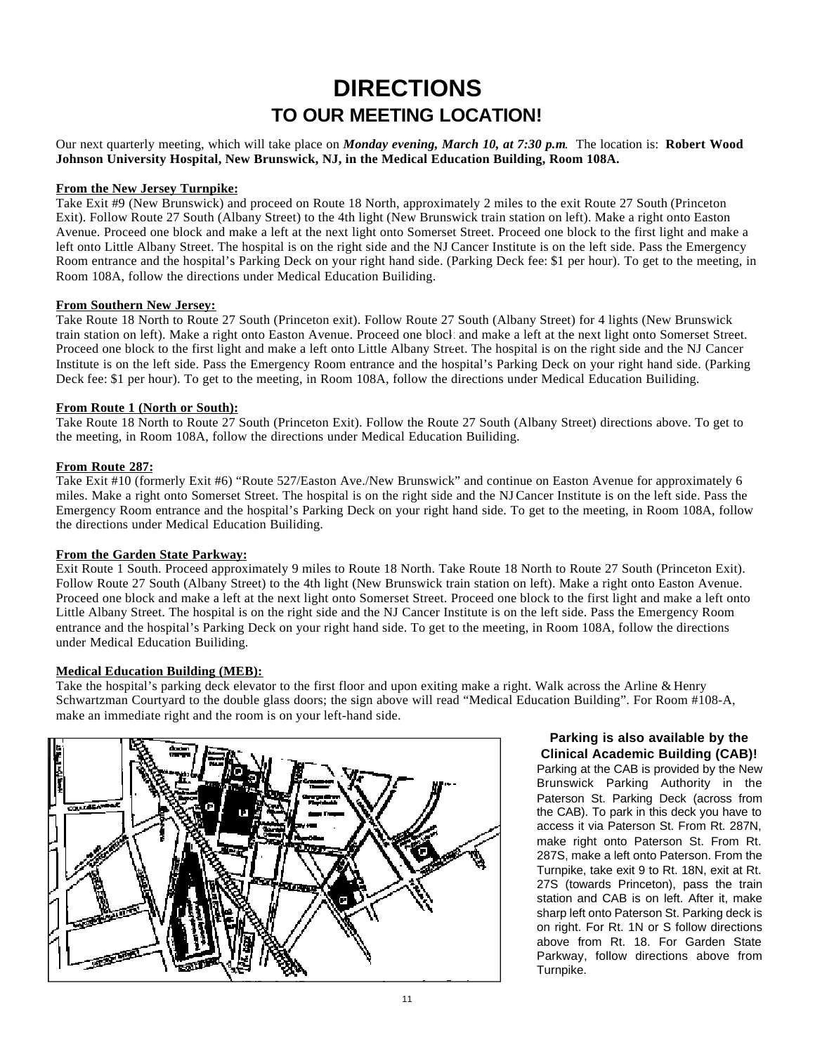# **DIRECTIONS TO OUR MEETING LOCATION!**

Our next quarterly meeting, which will take place on *Monday evening, March 10, at 7:30 p.m*. The location is: **Robert Wood Johnson University Hospital, New Brunswick, NJ, in the Medical Education Building, Room 108A.**

#### **From the New Jersey Turnpike:**

Take Exit #9 (New Brunswick) and proceed on Route 18 North, approximately 2 miles to the exit Route 27 South (Princeton Exit). Follow Route 27 South (Albany Street) to the 4th light (New Brunswick train station on left). Make a right onto Easton Avenue. Proceed one block and make a left at the next light onto Somerset Street. Proceed one block to the first light and make a left onto Little Albany Street. The hospital is on the right side and the NJ Cancer Institute is on the left side. Pass the Emergency Room entrance and the hospital's Parking Deck on your right hand side. (Parking Deck fee: \$1 per hour). To get to the meeting, in Room 108A, follow the directions under Medical Education Builiding.

#### **From Southern New Jersey:**

Take Route 18 North to Route 27 South (Princeton exit). Follow Route 27 South (Albany Street) for 4 lights (New Brunswick train station on left). Make a right onto Easton Avenue. Proceed one block and make a left at the next light onto Somerset Street. Proceed one block to the first light and make a left onto Little Albany Street. The hospital is on the right side and the NJ Cancer Institute is on the left side. Pass the Emergency Room entrance and the hospital's Parking Deck on your right hand side. (Parking Deck fee: \$1 per hour). To get to the meeting, in Room 108A, follow the directions under Medical Education Builiding.

#### **From Route 1 (North or South):**

Take Route 18 North to Route 27 South (Princeton Exit). Follow the Route 27 South (Albany Street) directions above. To get to the meeting, in Room 108A, follow the directions under Medical Education Builiding.

#### **From Route 287:**

Take Exit #10 (formerly Exit #6) "Route 527/Easton Ave./New Brunswick" and continue on Easton Avenue for approximately 6 miles. Make a right onto Somerset Street. The hospital is on the right side and the NJCancer Institute is on the left side. Pass the Emergency Room entrance and the hospital's Parking Deck on your right hand side. To get to the meeting, in Room 108A, follow the directions under Medical Education Builiding.

#### **From the Garden State Parkway:**

Exit Route 1 South. Proceed approximately 9 miles to Route 18 North. Take Route 18 North to Route 27 South (Princeton Exit). Follow Route 27 South (Albany Street) to the 4th light (New Brunswick train station on left). Make a right onto Easton Avenue. Proceed one block and make a left at the next light onto Somerset Street. Proceed one block to the first light and make a left onto Little Albany Street. The hospital is on the right side and the NJ Cancer Institute is on the left side. Pass the Emergency Room entrance and the hospital's Parking Deck on your right hand side. To get to the meeting, in Room 108A, follow the directions under Medical Education Builiding.

#### **Medical Education Building (MEB):**

Take the hospital's parking deck elevator to the first floor and upon exiting make a right. Walk across the Arline & Henry Schwartzman Courtyard to the double glass doors; the sign above will read "Medical Education Building". For Room #108-A, make an immediate right and the room is on your left-hand side.



#### **Parking is also available by the Clinical Academic Building (CAB)!**

Parking at the CAB is provided by the New Brunswick Parking Authority in the Paterson St. Parking Deck (across from the CAB). To park in this deck you have to access it via Paterson St. From Rt. 287N, make right onto Paterson St. From Rt. 287S, make a left onto Paterson. From the Turnpike, take exit 9 to Rt. 18N, exit at Rt. 27S (towards Princeton), pass the train station and CAB is on left. After it, make sharp left onto Paterson St. Parking deck is on right. For Rt. 1N or S follow directions above from Rt. 18. For Garden State Parkway, follow directions above from Turnpike.